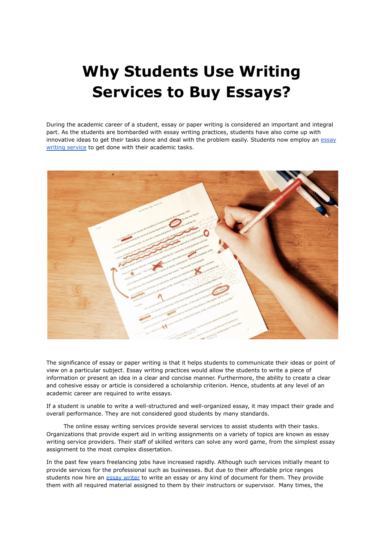# **Why Students Use Writing Services to Buy Essays?**

During the academic career of a student, essay or paper writing is considered an important and integral part. As the students are bombarded with essay writing practices, students have also come up with innovative ideas to get their tasks done and deal with the problem easily. Students now employ an [essay](https://theessaywritingservice.com/) writing [service](https://theessaywritingservice.com/) to get done with their academic tasks.



The significance of essay or paper writing is that it helps students to communicate their ideas or point of view on a particular subject. Essay writing practices would allow the students to write a piece of information or present an idea in a clear and concise manner. Furthermore, the ability to create a clear and cohesive essay or article is considered a scholarship criterion. Hence, students at any level of an academic career are required to write essays.

If a student is unable to write a well-structured and well-organized essay, it may impact their grade and overall performance. They are not considered good students by many standards.

The online essay writing services provide several services to assist students with their tasks. Organizations that provide expert aid in writing assignments on a variety of topics are known as essay writing service providers. Their staff of skilled writers can solve any word game, from the simplest essay assignment to the most complex dissertation.

In the past few years freelancing jobs have increased rapidly. Although such services initially meant to provide services for the professional such as businesses. But due to their affordable price ranges students now hire an essay [writer](https://www.collegeessay.org/) to write an essay or any kind of document for them. They provide them with all required material assigned to them by their instructors or supervisor. Many times, the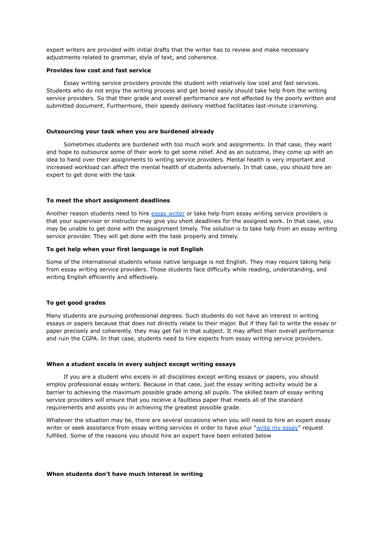expert writers are provided with initial drafts that the writer has to review and make necessary adjustments related to grammar, style of text, and coherence.

## **Provides low cost and fast service**

Essay writing service providers provide the student with relatively low cost and fast services. Students who do not enjoy the writing process and get bored easily should take help from the writing service providers. So that their grade and overall performance are not affected by the poorly written and submitted document. Furthermore, their speedy delivery method facilitates last-minute cramming.

## **Outsourcing your task when you are burdened already**

Sometimes students are burdened with too much work and assignments. In that case, they want and hope to outsource some of their work to get some relief. And as an outcome, they come up with an idea to hand over their assignments to writing service providers. Mental health is very important and increased workload can affect the mental health of students adversely. In that case, you should hire an expert to get done with the task

#### **To meet the short assignment deadlines**

Another reason students need to hire essay [writer](https://www.5staressays.com/) or take help from essay writing service providers is that your supervisor or instructor may give you short deadlines for the assigned work. In that case, you may be unable to get done with the assignment timely. The solution is to take help from an essay writing service provider. They will get done with the task properly and timely.

# **To get help when your first language is not English**

Some of the international students whose native language is not English. They may require taking help from essay writing service providers. Those students face difficulty while reading, understanding, and writing English efficiently and effectively.

# **To get good grades**

Many students are pursuing professional degrees. Such students do not have an interest in writing essays or papers because that does not directly relate to their major. But if they fail to write the essay or paper precisely and coherently. they may get fail in that subject. It may affect their overall performance and ruin the CGPA. In that case, students need to hire experts from essay writing service providers.

#### **When a student excels in every subject except writing essays**

If you are a student who excels in all disciplines except writing essays or papers, you should employ professional essay writers. Because in that case, just the essay writing activity would be a barrier to achieving the maximum possible grade among all pupils. The skilled team of essay writing service providers will ensure that you receive a faultless paper that meets all of the standard requirements and assists you in achieving the greatest possible grade.

Whatever the situation may be, there are several occasions when you will need to hire an expert essay writer or seek assistance from essay writing services in order to have your "write my [essay"](https://www.5staressays.com/) request fulfilled. Some of the reasons you should hire an expert have been enlisted below

#### **When students don't have much interest in writing**